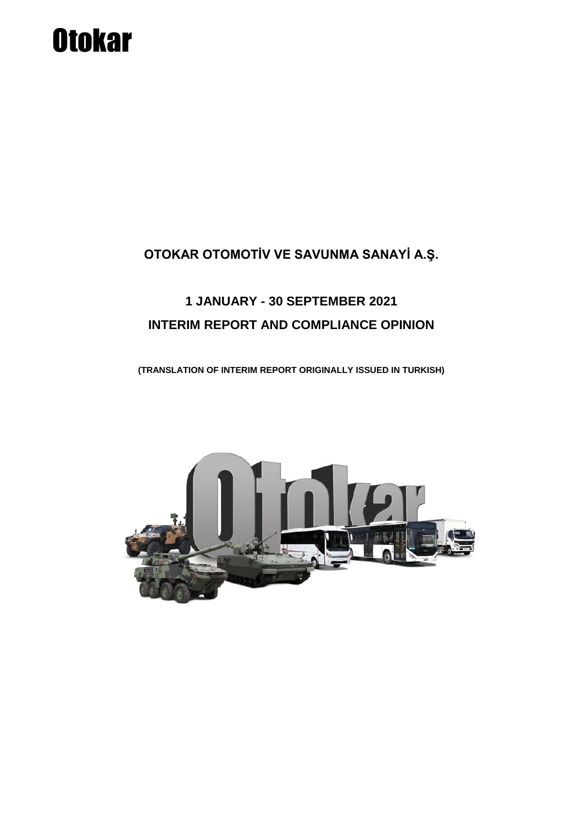# **Otokar**

# **OTOKAR OTOMOTİV VE SAVUNMA SANAYİ A.Ş.**

# **1 JANUARY - 30 SEPTEMBER 2021 INTERIM REPORT AND COMPLIANCE OPINION**

**(TRANSLATION OF INTERIM REPORT ORIGINALLY ISSUED IN TURKISH)**

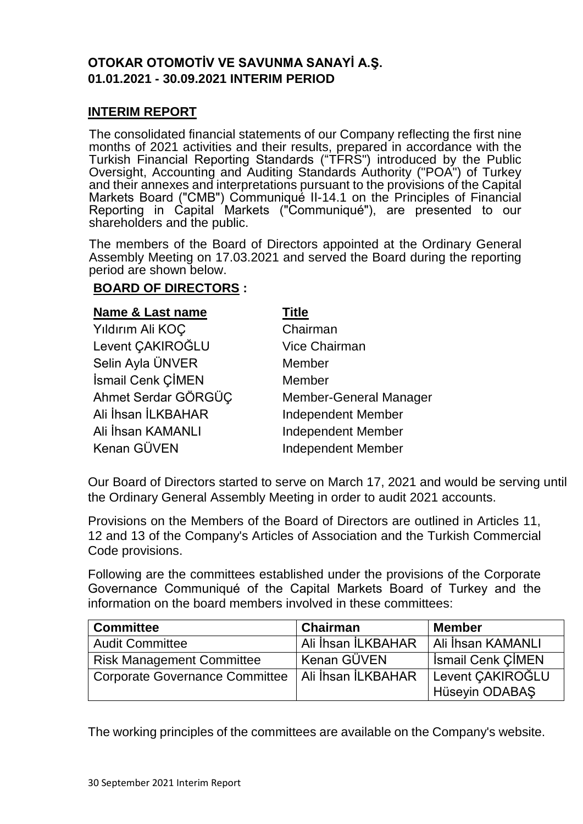## **OTOKAR OTOMOTİV VE SAVUNMA SANAYİ A.Ş. 01.01.2021 - 30.09.2021 INTERIM PERIOD**

#### **INTERIM REPORT**

The consolidated financial statements of our Company reflecting the first nine months of 2021 activities and their results, prepared in accordance with the Turkish Financial Reporting Standards ("TFRS") introduced by the Public Oversight, Accounting and Auditing Standards Authority ("POA") of Turkey and their annexes and interpretations pursuant to the provisions of the Capital Markets Board ("CMB") Communiqué II-14.1 on the Principles of Financial Reporting in Capital Markets ("Communiqué"), are presented to our shareholders and the public.

The members of the Board of Directors appointed at the Ordinary General Assembly Meeting on 17.03.2021 and served the Board during the reporting period are shown below.

#### **BOARD OF DIRECTORS :**

| <b>Name &amp; Last name</b> | Title                         |
|-----------------------------|-------------------------------|
| Yıldırım Ali KOÇ            | Chairman                      |
| Levent CAKIROĞLU            | <b>Vice Chairman</b>          |
| Selin Ayla ÜNVER            | Member                        |
| İsmail Cenk ÇİMEN           | Member                        |
| Ahmet Serdar GÖRGÜÇ         | <b>Member-General Manager</b> |
| Ali İhsan İLKBAHAR          | <b>Independent Member</b>     |
| Ali İhsan KAMANLI           | <b>Independent Member</b>     |
| Kenan GÜVEN                 | <b>Independent Member</b>     |

Our Board of Directors started to serve on March 17, 2021 and would be serving until the Ordinary General Assembly Meeting in order to audit 2021 accounts.

Provisions on the Members of the Board of Directors are outlined in Articles 11, 12 and 13 of the Company's Articles of Association and the Turkish Commercial Code provisions.

Following are the committees established under the provisions of the Corporate Governance Communiqué of the Capital Markets Board of Turkey and the information on the board members involved in these committees:

| <b>Committee</b>                                    | <b>Chairman</b>    | <b>Member</b>            |
|-----------------------------------------------------|--------------------|--------------------------|
| <b>Audit Committee</b>                              | Ali İhsan İLKBAHAR | Ali İhsan KAMANLI        |
| <b>Risk Management Committee</b>                    | ' Kenan GÜVEN      | <b>Ismail Cenk CIMEN</b> |
| Corporate Governance Committee   Ali İhsan İLKBAHAR |                    | Levent CAKIROĞLU         |
|                                                     |                    | Hüseyin ODABAŞ           |

The working principles of the committees are available on the Company's website.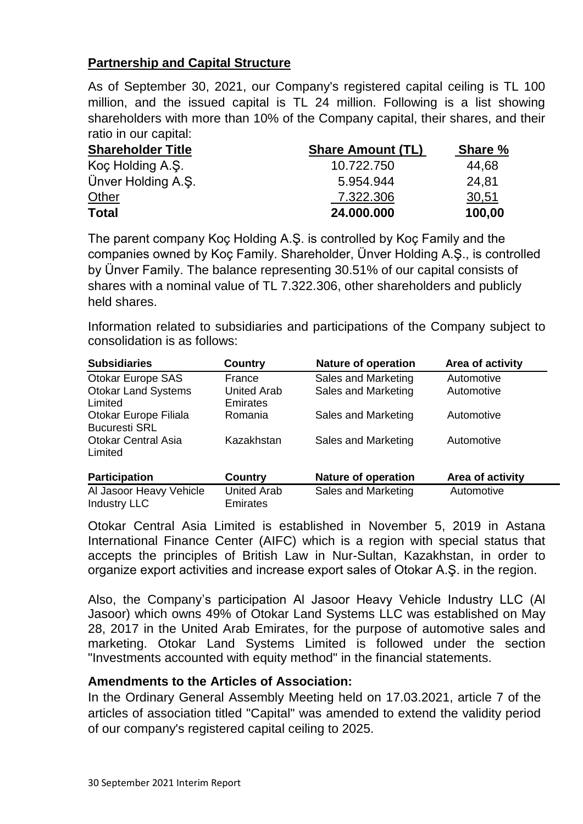# **Partnership and Capital Structure**

As of September 30, 2021, our Company's registered capital ceiling is TL 100 million, and the issued capital is TL 24 million. Following is a list showing shareholders with more than 10% of the Company capital, their shares, and their ratio in our capital:

| <b>Shareholder Title</b> | <b>Share Amount (TL)</b> | <b>Share %</b> |
|--------------------------|--------------------------|----------------|
| Koç Holding A.Ş.         | 10.722.750               | 44,68          |
| Ünver Holding A.S.       | 5.954.944                | 24,81          |
| <b>Other</b>             | 7.322.306                | 30,51          |
| <b>Total</b>             | 24.000.000               | 100,00         |

The parent company Koç Holding A.Ş. is controlled by Koç Family and the companies owned by Koç Family. Shareholder, Ünver Holding A.Ş., is controlled by Ünver Family. The balance representing 30.51% of our capital consists of shares with a nominal value of TL 7.322.306, other shareholders and publicly held shares.

Information related to subsidiaries and participations of the Company subject to consolidation is as follows:

| <b>Subsidiaries</b>                            | Country                               | <b>Nature of operation</b> | Area of activity |
|------------------------------------------------|---------------------------------------|----------------------------|------------------|
| Otokar Europe SAS                              | France                                | Sales and Marketing        | Automotive       |
| <b>Otokar Land Systems</b><br>Limited          | <b>United Arab</b><br><b>Emirates</b> | Sales and Marketing        | Automotive       |
| Otokar Europe Filiala<br><b>Bucuresti SRL</b>  | Romania                               | Sales and Marketing        | Automotive       |
| <b>Otokar Central Asia</b><br>Limited          | Kazakhstan                            | Sales and Marketing        | Automotive       |
| <b>Participation</b>                           | <b>Country</b>                        | <b>Nature of operation</b> | Area of activity |
| Al Jasoor Heavy Vehicle<br><b>Industry LLC</b> | <b>United Arab</b><br>Emirates        | Sales and Marketing        | Automotive       |

Otokar Central Asia Limited is established in November 5, 2019 in Astana International Finance Center (AIFC) which is a region with special status that accepts the principles of British Law in Nur-Sultan, Kazakhstan, in order to organize export activities and increase export sales of Otokar A.Ş. in the region.

Also, the Company's participation Al Jasoor Heavy Vehicle Industry LLC (Al Jasoor) which owns 49% of Otokar Land Systems LLC was established on May 28, 2017 in the United Arab Emirates, for the purpose of automotive sales and marketing. Otokar Land Systems Limited is followed under the section "Investments accounted with equity method" in the financial statements.

#### **Amendments to the Articles of Association:**

In the Ordinary General Assembly Meeting held on 17.03.2021, article 7 of the articles of association titled "Capital" was amended to extend the validity period of our company's registered capital ceiling to 2025.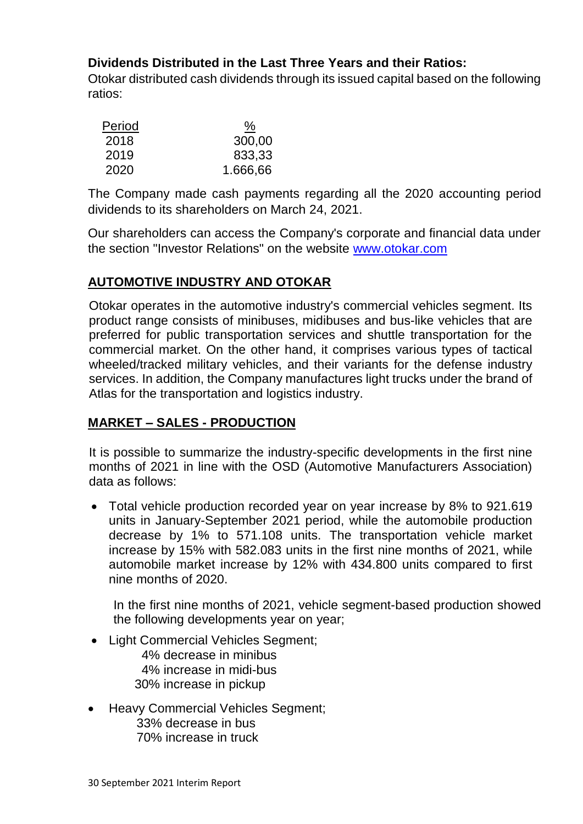### **Dividends Distributed in the Last Three Years and their Ratios:**

Otokar distributed cash dividends through its issued capital based on the following ratios:

| Period | <u>%</u> |
|--------|----------|
| 2018   | 300,00   |
| 2019   | 833,33   |
| 2020   | 1.666,66 |

The Company made cash payments regarding all the 2020 accounting period dividends to its shareholders on March 24, 2021.

Our shareholders can access the Company's corporate and financial data under the section "Investor Relations" on the website [www.otokar.com](http://www.otokar.com/)

#### **AUTOMOTIVE INDUSTRY AND OTOKAR**

Otokar operates in the automotive industry's commercial vehicles segment. Its product range consists of minibuses, midibuses and bus-like vehicles that are preferred for public transportation services and shuttle transportation for the commercial market. On the other hand, it comprises various types of tactical wheeled/tracked military vehicles, and their variants for the defense industry services. In addition, the Company manufactures light trucks under the brand of Atlas for the transportation and logistics industry.

#### **MARKET – SALES - PRODUCTION**

It is possible to summarize the industry-specific developments in the first nine months of 2021 in line with the OSD (Automotive Manufacturers Association) data as follows:

 Total vehicle production recorded year on year increase by 8% to 921.619 units in January-September 2021 period, while the automobile production decrease by 1% to 571.108 units. The transportation vehicle market increase by 15% with 582.083 units in the first nine months of 2021, while automobile market increase by 12% with 434.800 units compared to first nine months of 2020.

In the first nine months of 2021, vehicle segment-based production showed the following developments year on year;

- Light Commercial Vehicles Segment;
	- 4% decrease in minibus 4% increase in midi-bus
	- 30% increase in pickup
- Heavy Commercial Vehicles Segment; 33% decrease in bus 70% increase in truck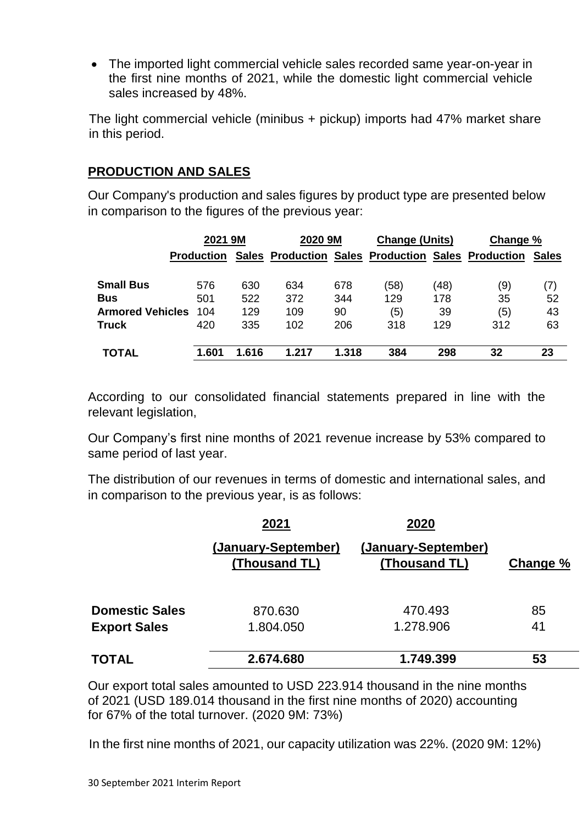The imported light commercial vehicle sales recorded same year-on-year in the first nine months of 2021, while the domestic light commercial vehicle sales increased by 48%.

The light commercial vehicle (minibus + pickup) imports had 47% market share in this period.

#### **PRODUCTION AND SALES**

Our Company's production and sales figures by product type are presented below in comparison to the figures of the previous year:

|                         | 2021 9M           |       | 2020 9M |       | <b>Change (Units)</b>                               |      | Change % |              |
|-------------------------|-------------------|-------|---------|-------|-----------------------------------------------------|------|----------|--------------|
|                         | <b>Production</b> | Sales |         |       | <b>Production Sales Production Sales Production</b> |      |          | <b>Sales</b> |
| <b>Small Bus</b>        | 576               | 630   | 634     | 678   | (58)                                                | (48) | (9)      | (7)          |
| <b>Bus</b>              | 501               | 522   | 372     | 344   | 129                                                 | 178  | 35       | 52           |
| <b>Armored Vehicles</b> | 104               | 129   | 109     | 90    | (5)                                                 | 39   | (5)      | 43           |
| <b>Truck</b>            | 420               | 335   | 102     | 206   | 318                                                 | 129  | 312      | 63           |
| <b>TOTAL</b>            | 1.601             | 1.616 | 1.217   | 1.318 | 384                                                 | 298  | 32       | 23           |

According to our consolidated financial statements prepared in line with the relevant legislation,

Our Company's first nine months of 2021 revenue increase by 53% compared to same period of last year.

The distribution of our revenues in terms of domestic and international sales, and in comparison to the previous year, is as follows:

|                       | 2021                                 | 2020                                 |          |
|-----------------------|--------------------------------------|--------------------------------------|----------|
|                       | (January-September)<br>(Thousand TL) | (January-September)<br>(Thousand TL) | Change % |
| <b>Domestic Sales</b> | 870,630                              | 470.493                              | 85       |
| <b>Export Sales</b>   | 1.804.050                            | 1.278.906                            | 41       |
| <b>TOTAL</b>          | 2.674.680                            | 1.749.399                            | 53       |

Our export total sales amounted to USD 223.914 thousand in the nine months of 2021 (USD 189.014 thousand in the first nine months of 2020) accounting for 67% of the total turnover. (2020 9M: 73%)

In the first nine months of 2021, our capacity utilization was 22%. (2020 9M: 12%)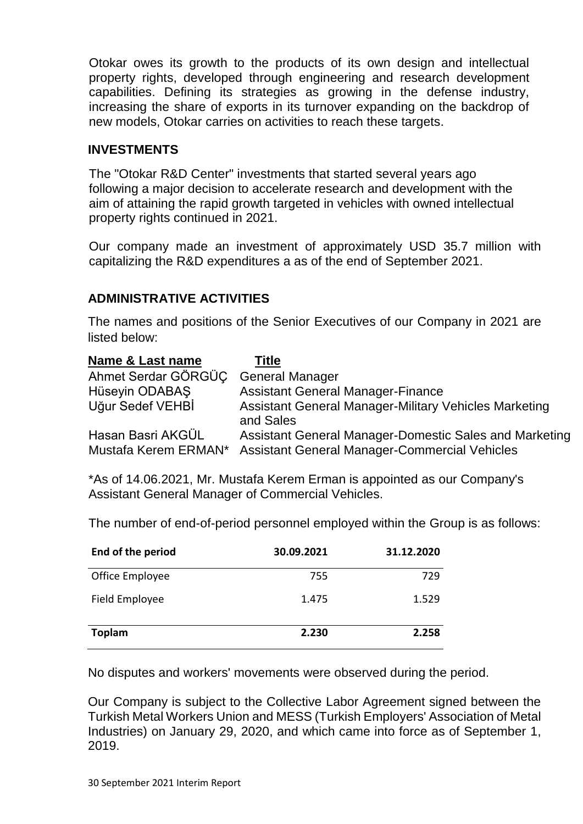Otokar owes its growth to the products of its own design and intellectual property rights, developed through engineering and research development capabilities. Defining its strategies as growing in the defense industry, increasing the share of exports in its turnover expanding on the backdrop of new models, Otokar carries on activities to reach these targets.

### **INVESTMENTS**

The "Otokar R&D Center" investments that started several years ago following a major decision to accelerate research and development with the aim of attaining the rapid growth targeted in vehicles with owned intellectual property rights continued in 2021.

Our company made an investment of approximately USD 35.7 million with capitalizing the R&D expenditures a as of the end of September 2021.

## **ADMINISTRATIVE ACTIVITIES**

The names and positions of the Senior Executives of our Company in 2021 are listed below:

| Name & Last name                          | Title                                                                                                          |
|-------------------------------------------|----------------------------------------------------------------------------------------------------------------|
| Ahmet Serdar GÖRGÜC                       | <b>General Manager</b>                                                                                         |
| Hüseyin ODABAŞ                            | <b>Assistant General Manager-Finance</b>                                                                       |
| Uğur Sedef VEHBİ                          | <b>Assistant General Manager-Military Vehicles Marketing</b><br>and Sales                                      |
| Hasan Basri AKGÜL<br>Mustafa Kerem ERMAN* | Assistant General Manager-Domestic Sales and Marketing<br><b>Assistant General Manager-Commercial Vehicles</b> |

\*As of 14.06.2021, Mr. Mustafa Kerem Erman is appointed as our Company's Assistant General Manager of Commercial Vehicles.

The number of end-of-period personnel employed within the Group is as follows:

| End of the period | 30.09.2021 | 31.12.2020 |
|-------------------|------------|------------|
| Office Employee   | 755        | 729        |
| Field Employee    | 1.475      | 1.529      |
| <b>Toplam</b>     | 2.230      | 2.258      |

No disputes and workers' movements were observed during the period.

Our Company is subject to the Collective Labor Agreement signed between the Turkish Metal Workers Union and MESS (Turkish Employers' Association of Metal Industries) on January 29, 2020, and which came into force as of September 1, 2019.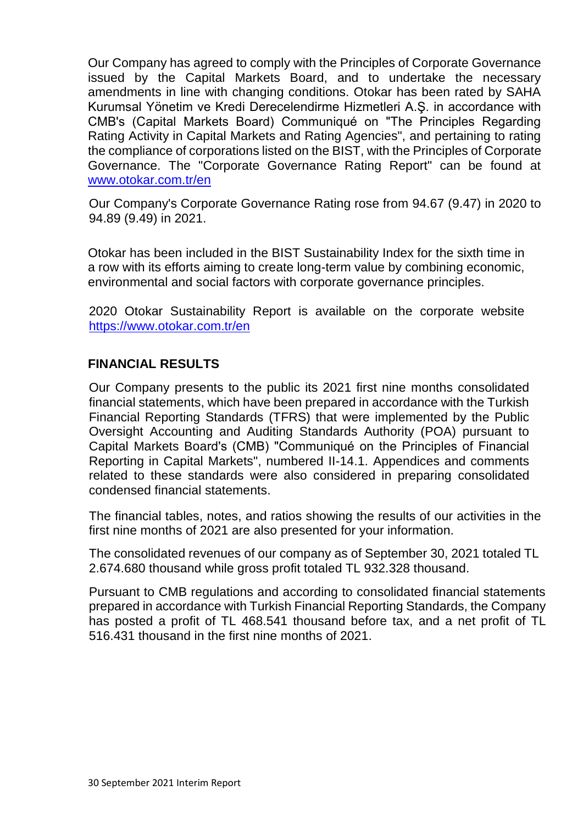Our Company has agreed to comply with the Principles of Corporate Governance issued by the Capital Markets Board, and to undertake the necessary amendments in line with changing conditions. Otokar has been rated by SAHA Kurumsal Yönetim ve Kredi Derecelendirme Hizmetleri A.Ş. in accordance with CMB's (Capital Markets Board) Communiqué on "The Principles Regarding Rating Activity in Capital Markets and Rating Agencies", and pertaining to rating the compliance of corporations listed on the BIST, with the Principles of Corporate Governance. The "Corporate Governance Rating Report" can be found at [www.otokar.com.tr/en](http://www.otokar.com.tr/en)

Our Company's Corporate Governance Rating rose from 94.67 (9.47) in 2020 to 94.89 (9.49) in 2021.

Otokar has been included in the BIST Sustainability Index for the sixth time in a row with its efforts aiming to create long-term value by combining economic, environmental and social factors with corporate governance principles.

2020 Otokar Sustainability Report is available on the corporate website <https://www.otokar.com.tr/en>

#### **FINANCIAL RESULTS**

Our Company presents to the public its 2021 first nine months consolidated financial statements, which have been prepared in accordance with the Turkish Financial Reporting Standards (TFRS) that were implemented by the Public Oversight Accounting and Auditing Standards Authority (POA) pursuant to Capital Markets Board's (CMB) "Communiqué on the Principles of Financial Reporting in Capital Markets", numbered II-14.1. Appendices and comments related to these standards were also considered in preparing consolidated condensed financial statements.

The financial tables, notes, and ratios showing the results of our activities in the first nine months of 2021 are also presented for your information.

The consolidated revenues of our company as of September 30, 2021 totaled TL 2.674.680 thousand while gross profit totaled TL 932.328 thousand.

Pursuant to CMB regulations and according to consolidated financial statements prepared in accordance with Turkish Financial Reporting Standards, the Company has posted a profit of TL 468.541 thousand before tax, and a net profit of TL 516.431 thousand in the first nine months of 2021.